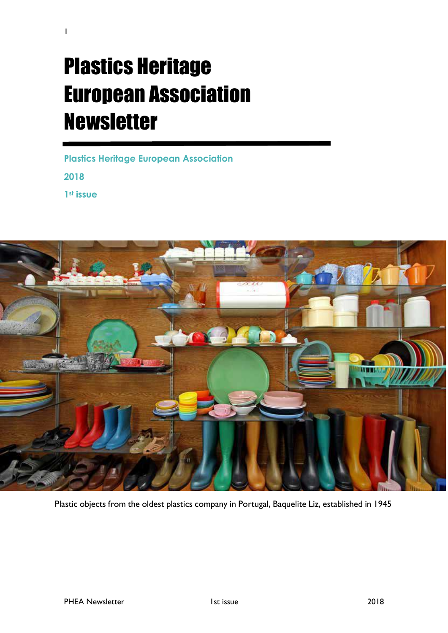# Plastics Heritage European Association Newsletter

1

**Plastics Heritage European Association 2018 1st issue**



Plastic objects from the oldest plastics company in Portugal, Baquelite Liz, established in 1945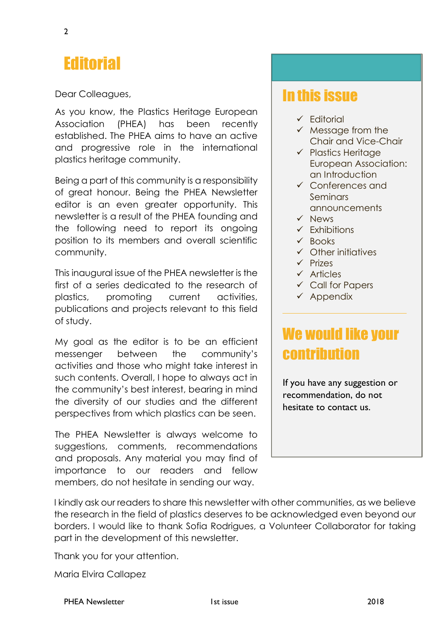## **Editorial**

Dear Colleagues,

As you know, the Plastics Heritage European Association (PHEA) has been recently established. The PHEA aims to have an active and progressive role in the international plastics heritage community.

Being a part of this community is a responsibility of great honour. Being the PHEA Newsletter editor is an even greater opportunity. This newsletter is a result of the PHEA founding and the following need to report its ongoing position to its members and overall scientific community.

This inaugural issue of the PHEA newsletter is the first of a series dedicated to the research of plastics, promoting current activities, publications and projects relevant to this field of study.

My goal as the editor is to be an efficient messenger between the community's activities and those who might take interest in such contents. Overall, I hope to always act in the community's best interest, bearing in mind the diversity of our studies and the different perspectives from which plastics can be seen.

The PHEA Newsletter is always welcome to suggestions, comments, recommendations and proposals. Any material you may find of importance to our readers and fellow members, do not hesitate in sending our way.

### In this issue

- ✓ Editorial
- ✓ Message from the Chair and Vice-Chair
- ✓ Plastics Heritage European Association: an Introduction
- ✓ Conferences and Seminars announcements
- ✓ News
- ✓ Exhibitions
- ✓ Books
- ✓ Other initiatives
- ✓ Prizes
- ✓ Articles
- ✓ Call for Papers
- ✓ Appendix

### We would like your contribution

If you have any suggestion or recommendation, do not hesitate to contact us.

I kindly ask our readers to share this newsletter with other communities, as we believe the research in the field of plastics deserves to be acknowledged even beyond our borders. I would like to thank Sofia Rodrigues, a Volunteer Collaborator for taking part in the development of this newsletter.

Thank you for your attention.

Maria Elvira Callapez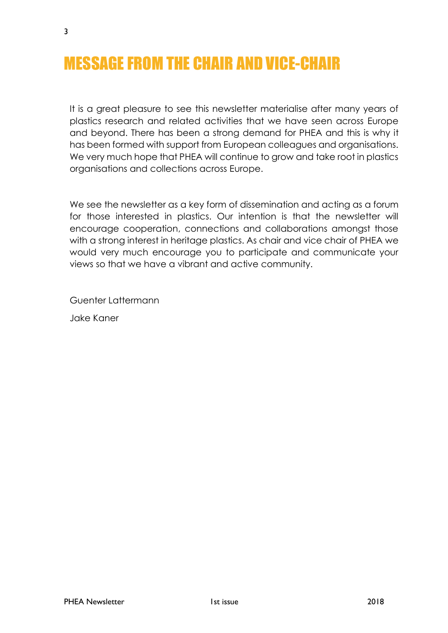# MESSAGE FROM THE CHAIR AND VICE-CHAIR

It is a great pleasure to see this newsletter materialise after many years of plastics research and related activities that we have seen across Europe and beyond. There has been a strong demand for PHEA and this is why it has been formed with support from European colleagues and organisations. We very much hope that PHEA will continue to grow and take root in plastics organisations and collections across Europe.

We see the newsletter as a key form of dissemination and acting as a forum for those interested in plastics. Our intention is that the newsletter will encourage cooperation, connections and collaborations amongst those with a strong interest in heritage plastics. As chair and vice chair of PHEA we would very much encourage you to participate and communicate your views so that we have a vibrant and active community.

Guenter Lattermann

Jake Kaner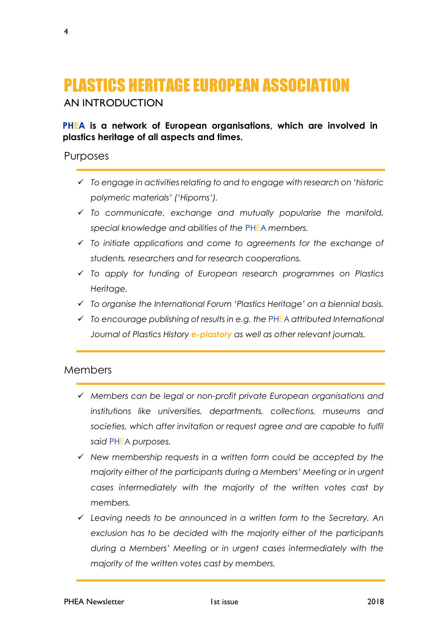# PLASTICS HERITAGE EUROPEAN ASSOCIATION

#### AN INTRODUCTION

#### **PHEA is a network of European organisations, which are involved in plastics heritage of all aspects and times.**

#### Purposes

- ✓ *To engage in activities relating to and to engage with research on 'historic polymeric materials' ('Hipoms').*
- ✓ *To communicate, exchange and mutually popularise the manifold, special knowledge and abilities of the* PHEA *members.*
- ✓ *To initiate applications and come to agreements for the exchange of students, researchers and for research cooperations.*
- ✓ *To apply for funding of European research programmes on Plastics Heritage.*
- ✓ *To organise the International Forum 'Plastics Heritage' on a biennial basis.*
- ✓ *To encourage publishing of results in e.g. the* PHEA *attributed International Journal of Plastics History e-plastory as well as other relevant journals.*

#### Members

- ✓ *Members can be legal or non-profit private European organisations and institutions like universities, departments, collections, museums and*  societies, which after invitation or request agree and are capable to fulfil *said* PHEA *purposes.*
- ✓ *New membership requests in a written form could be accepted by the majority either of the participants during a Members' Meeting or in urgent cases intermediately with the majority of the written votes cast by members.*
- ✓ *Leaving needs to be announced in a written form to the Secretary. An exclusion has to be decided with the majority either of the participants during a Members' Meeting or in urgent cases intermediately with the majority of the written votes cast by members.*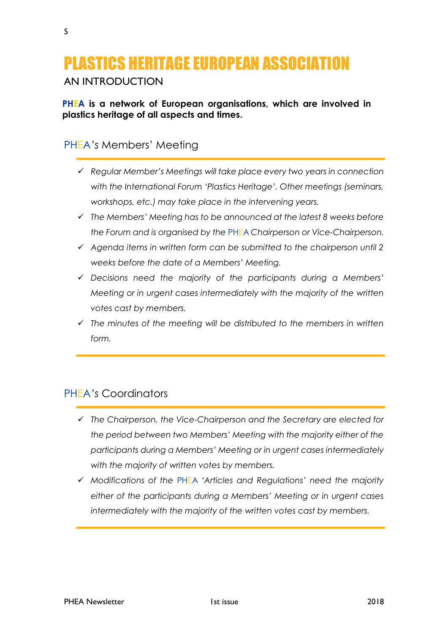# PLASTICS HERITAGE EUROPEAN ASSOCIATION

AN INTRODUCTION

**PHEA is a network of European organisations, which are involved in plastics heritage of all aspects and times.**

### PHEA*'s* Members' Meeting

- ✓ *Regular Member's Meetings will take place every two years in connection with the International Forum 'Plastics Heritage'. Other meetings (seminars, workshops, etc.) may take place in the intervening years.*
- ✓ *The Members' Meeting has to be announced at the latest 8 weeks before the Forum and is organised by the* PHEA *Chairperson or Vice-Chairperson.*
- ✓ *Agenda items in written form can be submitted to the chairperson until 2 weeks before the date of a Members' Meeting.*
- ✓ *Decisions need the majority of the participants during a Members' Meeting or in urgent cases intermediately with the majority of the written votes cast by members.*
- ✓ *The minutes of the meeting will be distributed to the members in written form.*

### PHEA*'s* Coordinators

- ✓ *The Chairperson, the Vice-Chairperson and the Secretary are elected for the period between two Members' Meeting with the majority either of the participants during a Members' Meeting or in urgent cases intermediately with the majority of written votes by members.*
- ✓ *Modifications of the* PHEA *'Articles and Regulations' need the majority either of the participants during a Members' Meeting or in urgent cases intermediately with the majority of the written votes cast by members.*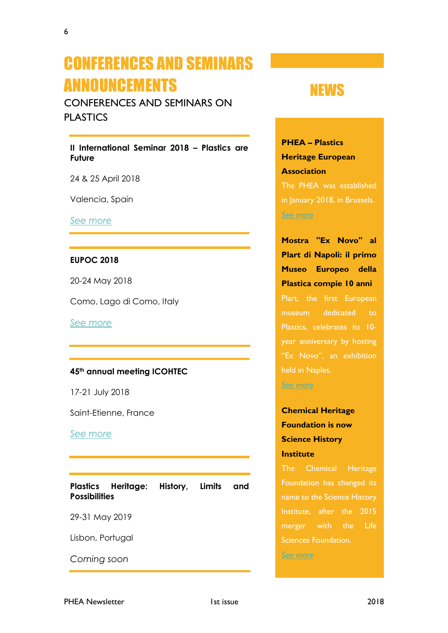## CONFERENCES AND SEMINARS ANNOUNCEMENTS

CONFERENCES AND SEMINARS ON PLASTICS

**II International Seminar 2018 – Plastics are Future** 

24 & 25 April 2018

Valencia, Spain

*[See more](http://www.plasticsarefuture.com/home.php)*

#### **EUPOC 2018**

20-24 May 2018

Como, Lago di Como, Italy

*[See more](https://www.eupoc2018.it/)*

#### **45th annual meeting ICOHTEC**

17-21 July 2018

Saint-Etienne, France

*[See more](https://www.icohtec2018.fr/)*

**Plastics Heritage: History, Limits and Possibilities**

29-31 May 2019

Lisbon, Portugal

*Coming soon*

### NEWS

**PHEA – Plastics Heritage European Association** The PHEA was established in January 2018, in Brussels.

*[See more](https://www.iiconservation.org/node/7447)*

**Mostra "Ex Novo" al Plart di Napoli: il primo Museo Europeo della Plastica compie 10 anni** 

Plart, the first European museum dedicated to Plastics, celebrates its 10 year anniversary by hosting held in Naples.

*[See more](http://www.napolitoday.it/eventi/plart-napoli-10-anni-mostra-ex-novo-25-gennaio-2018.html)*

### **Chemical Heritage Foundation is now Science History Institute**

The Chemical Heritage Foundation has changed its name to the Science History merger with the Life Sciences Foundation. *[See more](https://www.prnewswire.com/news-releases/chemical-heritage-foundation-is-now-science-history-institute-300592121.html)*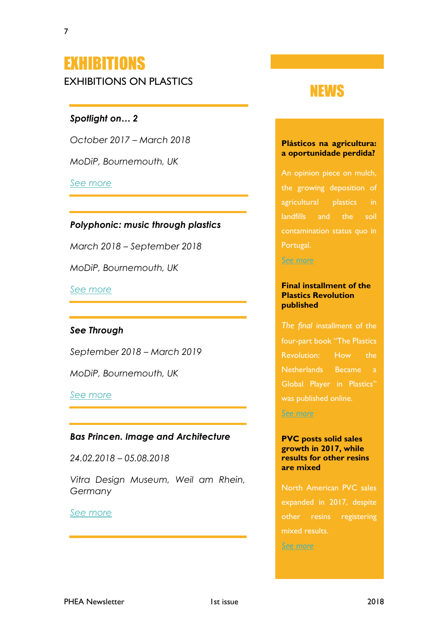# EXHIBITIONS

EXHIBITIONS ON PLASTICS

### *Spotlight on… 2*

*October 2017 – March 2018*

*MoDiP, Bournemouth, UK*

### *[See more](http://www.modip.ac.uk/exhibitions-events)*

### *Polyphonic: music through plastics*

*March 2018 – September 2018*

*MoDiP, Bournemouth, UK*

*[See more](http://www.modip.ac.uk/exhibitions-events)*

#### *See Through*

*September 2018 – March 2019*

*MoDiP, Bournemouth, UK*

*[See more](http://www.modip.ac.uk/exhibitions-events)*

#### *Bas Princen. Image and Architecture*

*24.02.2018 – 05.08.2018*

*Vitra Design Museum, Weil am Rhein, Germany*

#### *[See more](https://www.design-museum.de/en/exhibitions/current-exhibitions.html)*

### NEWS

#### **Plásticos na agricultura: a oportunidade perdida?**

An opinion piece on mulch, the growing deposition of agricultural plastics in landfills and the soil contamination status quo in Portugal.

*[See more](https://www.publico.pt/2018/02/23/ecosfera/opiniao/plasticos-na-agricultura-a-oportunidade-perdida-1803683)*

#### **Final installment of the Plastics Revolution published**

*The final* installment of the four-part book "The Plastics Revolution: How the Netherlands Became a Global Player in Plastics"

*[See more](http://www.polymers.nl/news/final-instalment-of-the-plastics-revolution-published)*

#### **PVC posts solid sales growth in 2017, while results for other resins are mixed**

North American PVC sales expanded in 2017, despite other resins registering mixed results.

*[See more](http://www.plasticsnews.com/article/20180223/NEWS/180229948/pvc-posts-solid-sales-growth-in-2017-while-results-for-other-resins)*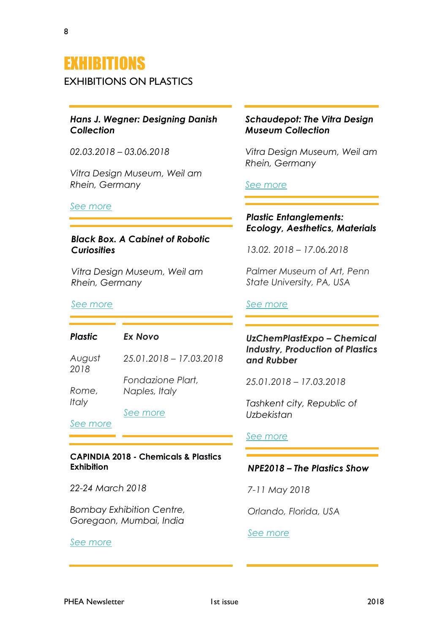### EXHIBITIONS

EXHIBITIONS ON PLASTICS

#### *Hans J. Wegner: Designing Danish Collection*

*02.03.2018 – 03.06.2018*

*Vitra Design Museum, Weil am Rhein, Germany*

#### *[See more](https://www.design-museum.de/en/exhibitions/current-exhibitions.html)*

#### *Black Box. A Cabinet of Robotic Curiosities*

*Vitra Design Museum, Weil am Rhein, Germany*

#### *[See more](https://www.design-museum.de/en/exhibitions/current-exhibitions.html)*

#### *Plastic Ex Novo*

*August 2018 Rome, Italy 25.01.2018 – 17.03.2018 Fondazione Plart, Naples, Italy*

*[See more](http://www.fondazioneplart.it/)*

*[See more](http://www.bmoreart.com/2018/01/plastic-call-for-exhibition.html)*

#### **CAPINDIA 2018 - Chemicals & Plastics Exhibition**

*22-24 March 2018*

*Bombay Exhibition Centre, Goregaon, Mumbai, India*

#### *[See more](http://capindiaexpo.in/)*

#### *Schaudepot: The Vitra Design Museum Collection*

*Vitra Design Museum, Weil am Rhein, Germany*

#### *[See more](https://www.design-museum.de/en/exhibitions/current-exhibitions.html)*

#### *Plastic Entanglements: Ecology, Aesthetics, Materials*

*13.02. 2018 – 17.06.2018*

*Palmer Museum of Art, Penn State University, PA, USA*

#### *[See more](https://palmermuseum.psu.edu/exhibitions/current/plastic-entanglements-ecology-aesthetics-materials)*

#### *UzChemPlastExpo – Chemical Industry, Production of Plastics and Rubber*

*25.01.2018 – 17.03.2018*

*Tashkent city, Republic of Uzbekistan*

#### *[See more](http://www.ieg.uz/en/exhibitions/UzChemPlastExpo)*

#### *NPE2018 – The Plastics Show*

*7-11 May 2018*

*Orlando, Florida, USA*

#### *[See more](http://www.npe.org/attend)*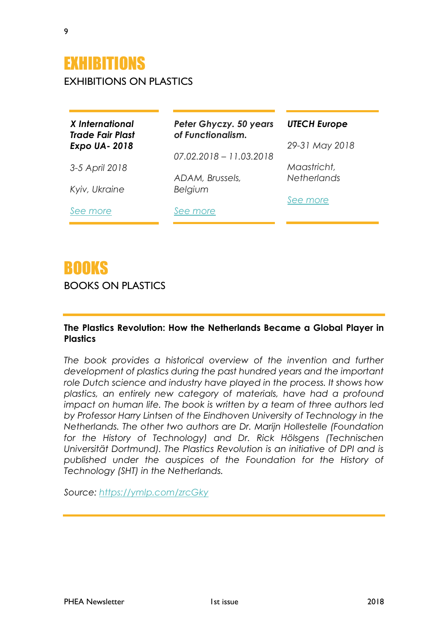EXHIBITIONS ON PLASTICS

| X International<br><b>Trade Fair Plast</b><br><b>Expo UA-2018</b> | Peter Ghyczy. 50 years<br>of Functionalism. | <b>UTECH Europe</b><br>29-31 May 2018 |
|-------------------------------------------------------------------|---------------------------------------------|---------------------------------------|
|                                                                   | $07.02.2018 - 11.03.2018$                   |                                       |
| 3-5 April 2018                                                    |                                             | Maastricht,                           |
| Kyiv, Ukraine                                                     | ADAM, Brussels,<br>Belgium                  | <b>Netherlands</b>                    |
|                                                                   |                                             | See more                              |
| See more                                                          | See more                                    |                                       |

### BOOKS

BOOKS ON PLASTICS

#### **The Plastics Revolution: How the Netherlands Became a Global Player in Plastics**

The book provides a historical overview of the invention and further *development of plastics during the past hundred years and the important role Dutch science and industry have played in the process. It shows how plastics, an entirely new category of materials, have had a profound impact on human life. The book is written by a team of three authors led by Professor Harry Lintsen of the Eindhoven University of Technology in the Netherlands. The other two authors are Dr. Marijn Hollestelle (Foundation*  for the History of Technology) and Dr. Rick Hölsgens (Technischen *Universität Dortmund). The Plastics Revolution is an initiative of DPI and is published under the auspices of the Foundation for the History of Technology (SHT) in the Netherlands.*

*Source:<https://ymlp.com/zrcGky>*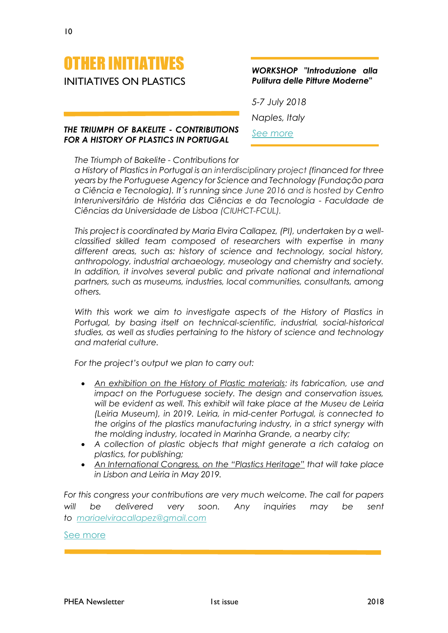

#### *THE TRIUMPH OF BAKELITE - CONTRIBUTIONS FOR A HISTORY OF PLASTICS IN PORTUGAL*

#### *WORKSHOP "Introduzione alla Pulitura delle Pitture Moderne"*

*5-7 July 2018 Naples, Italy See [more](http://www.fondazioneplart.it/en-us/gettingstarted.aspx)*

*The Triumph of Bakelite - Contributions for* 

*a History of Plastics in Portugal is an interdisciplinary project (financed for three years by the Portuguese Agency for Science and Technology (Fundação para a Ciência e Tecnologia). It´s running since June 2016 and is hosted by Centro Interuniversitário de História das Ciências e da Tecnologia - Faculdade de Ciências da Universidade de Lisboa (CIUHCT-FCUL).*

*This project is coordinated by Maria Elvira Callapez, (PI), undertaken by a wellclassified skilled team composed of researchers with expertise in many different areas, such as: history of science and technology, social history, anthropology, industrial archaeology, museology and chemistry and society. In addition, it involves several public and private national and international partners, such as museums, industries, local communities, consultants, among others.* 

*With this work we aim to investigate aspects of the History of Plastics in Portugal, by basing itself on technical-scientific, industrial, social-historical studies, as well as studies pertaining to the history of science and technology and material culture.* 

*For the project's output we plan to carry out:*

- *An exhibition on the History of Plastic materials: its fabrication, use and impact on the Portuguese society. The design and conservation issues, will be evident as well. This exhibit will take place at the Museu de Leiria (Leiria Museum), in 2019. Leiria, in mid-center Portugal, is connected to the origins of the plastics manufacturing industry, in a strict synergy with the molding industry, located in Marinha Grande, a nearby city;*
- *A collection of plastic objects that might generate a rich catalog on plastics, for publishing;*
- *An International Congress, on the "Plastics Heritage" that will take place in Lisbon and Leiria in May 2019.*

*For this congress your contributions are very much welcome. The call for papers will be delivered very soon. Any inquiries may be sent to [mariaelviracallapez@gmail.com](mailto:mariaelviracallapez@gmail.com)*

[See more](http://plasticos.ciuhct.org/)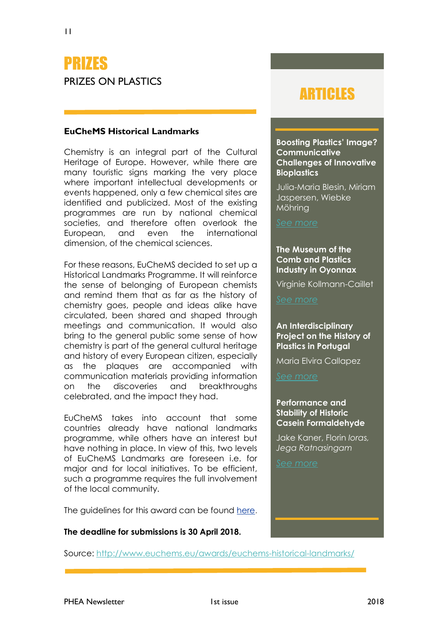### PRIZES PRIZES ON PLASTICS

#### **EuCheMS Historical Landmarks**

Chemistry is an integral part of the Cultural Heritage of Europe. However, while there are many touristic signs marking the very place where important intellectual developments or events happened, only a few chemical sites are identified and publicized. Most of the existing programmes are run by national chemical societies, and therefore often overlook the European, and even the international dimension, of the chemical sciences.

For these reasons, EuCheMS decided to set up a Historical Landmarks Programme. It will reinforce the sense of belonging of European chemists and remind them that as far as the history of chemistry goes, people and ideas alike have circulated, been shared and shaped through meetings and communication. It would also bring to the general public some sense of how chemistry is part of the general cultural heritage and history of every European citizen, especially as the plaques are accompanied with communication materials providing information on the discoveries and breakthroughs celebrated, and the impact they had.

EuCheMS takes into account that some countries already have national landmarks programme, while others have an interest but have nothing in place. In view of this, two levels of EuCheMS Landmarks are foreseen i.e. for major and for local initiatives. To be efficient, such a programme requires the full involvement of the local community.

The guidelines for this award can be found [here.](http://www.euchems.eu/wp-content/uploads/2017/09/170904-EuCheMS-Historical-Landmarks-P-012-Landmarks.pdf)

#### **The deadline for submissions is 30 April 2018.**

### ARTICLES

**Boosting Plastics' Image? Communicative Challenges of Innovative Bioplastics**

Julia-Maria Blesin, Miriam Jaspersen, Wiebke Möhring

#### **The Museum of the Comb and Plastics Industry in Oyonnax**

Virginie Kollmann-Caillet

#### **An Interdisciplinary Project on the History of Plastics in Portugal**

Maria Elvira Callapez

#### **Performance and Stability of Historic Casein Formaldehyde**

Jake Kaner, Florin *Ioras, Jega Ratnasingam* 

Source:<http://www.euchems.eu/awards/euchems-historical-landmarks/>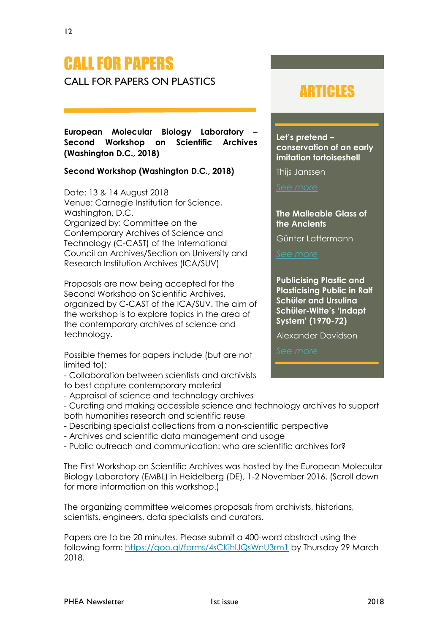# CALL FOR PAPERS

CALL FOR PAPERS ON PLASTICS

**European Molecular Biology Laboratory – Second Workshop on Scientific Archives (Washington D.C., 2018)**

#### **Second Workshop (Washington D.C., 2018)**

Date: 13 & 14 August 2018 Venue: Carnegie Institution for Science, Washington, D.C. Organized by: Committee on the Contemporary Archives of Science and Technology (C-CAST) of the International Council on Archives/Section on University and Research Institution Archives (ICA/SUV)

Proposals are now being accepted for the Second Workshop on Scientific Archives, organized by C-CAST of the ICA/SUV. The aim of the workshop is to explore topics in the area of the contemporary archives of science and technology.

Possible themes for papers include (but are not limited to):

- Collaboration between scientists and archivists to best capture contemporary material

- Appraisal of science and technology archives

- Curating and making accessible science and technology archives to support both humanities research and scientific reuse

- Describing specialist collections from a non-scientific perspective
- Archives and scientific data management and usage

- Public outreach and communication: who are scientific archives for?

The First Workshop on Scientific Archives was hosted by the European Molecular Biology Laboratory (EMBL) in Heidelberg (DE), 1-2 November 2016. (Scroll down for more information on this workshop.)

The organizing committee welcomes proposals from archivists, historians, scientists, engineers, data specialists and curators.

Papers are to be 20 minutes. Please submit a 400-word abstract using the following form: <https://goo.gl/forms/4sCKjhlJQsWnU3rm1> by Thursday 29 March 2018.

### ARTICLES

**Let's pretend – conservation of an early imitation tortoiseshell**

Thijs Janssen

**The Malleable Glass of the Ancients**

Günter Lattermann

**Publicising Plastic and Plasticising Public in Ralf Schüler and Ursulina Schüler-Witte's 'Indapt System' (1970-72)**

Alexander Davidson